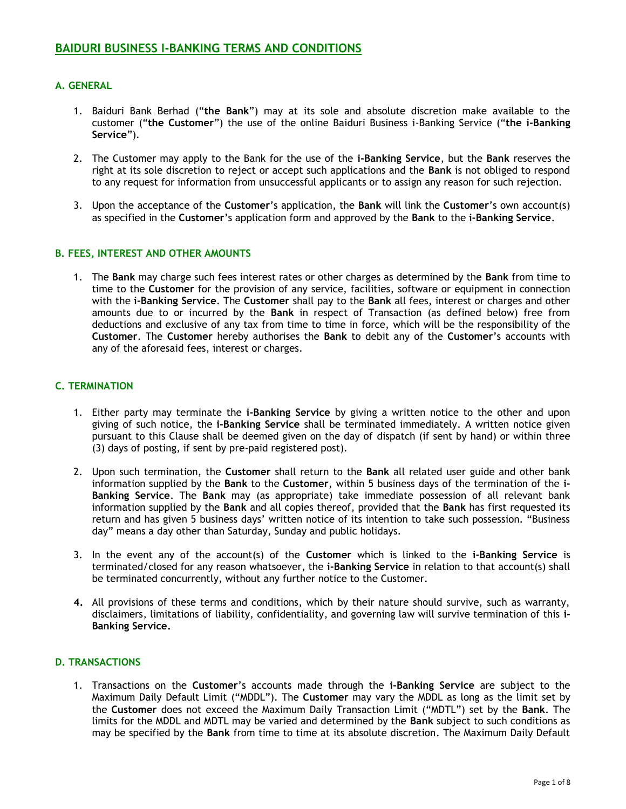# **A. GENERAL**

- 1. Baiduri Bank Berhad ("**the Bank**") may at its sole and absolute discretion make available to the customer ("**the Customer**") the use of the online Baiduri Business i-Banking Service ("**the i-Banking Service**").
- 2. The Customer may apply to the Bank for the use of the **i-Banking Service**, but the **Bank** reserves the right at its sole discretion to reject or accept such applications and the **Bank** is not obliged to respond to any request for information from unsuccessful applicants or to assign any reason for such rejection.
- 3. Upon the acceptance of the **Customer**'s application, the **Bank** will link the **Customer**'s own account(s) as specified in the **Customer**'s application form and approved by the **Bank** to the **i-Banking Service**.

## **B. FEES, INTEREST AND OTHER AMOUNTS**

1. The **Bank** may charge such fees interest rates or other charges as determined by the **Bank** from time to time to the **Customer** for the provision of any service, facilities, software or equipment in connection with the **i-Banking Service**. The **Customer** shall pay to the **Bank** all fees, interest or charges and other amounts due to or incurred by the **Bank** in respect of Transaction (as defined below) free from deductions and exclusive of any tax from time to time in force, which will be the responsibility of the **Customer**. The **Customer** hereby authorises the **Bank** to debit any of the **Customer**'s accounts with any of the aforesaid fees, interest or charges.

## **C. TERMINATION**

- 1. Either party may terminate the **i-Banking Service** by giving a written notice to the other and upon giving of such notice, the **i-Banking Service** shall be terminated immediately. A written notice given pursuant to this Clause shall be deemed given on the day of dispatch (if sent by hand) or within three (3) days of posting, if sent by pre-paid registered post).
- 2. Upon such termination, the **Customer** shall return to the **Bank** all related user guide and other bank information supplied by the **Bank** to the **Customer**, within 5 business days of the termination of the **i-Banking Service**. The **Bank** may (as appropriate) take immediate possession of all relevant bank information supplied by the **Bank** and all copies thereof, provided that the **Bank** has first requested its return and has given 5 business days' written notice of its intention to take such possession. "Business day" means a day other than Saturday, Sunday and public holidays.
- 3. In the event any of the account(s) of the **Customer** which is linked to the **i-Banking Service** is terminated/closed for any reason whatsoever, the **i-Banking Service** in relation to that account(s) shall be terminated concurrently, without any further notice to the Customer.
- **4.** All provisions of these terms and conditions, which by their nature should survive, such as warranty, disclaimers, limitations of liability, confidentiality, and governing law will survive termination of this **i-Banking Service.**

## **D. TRANSACTIONS**

1. Transactions on the **Customer**'s accounts made through the **i-Banking Service** are subject to the Maximum Daily Default Limit ("MDDL"). The **Customer** may vary the MDDL as long as the limit set by the **Customer** does not exceed the Maximum Daily Transaction Limit ("MDTL") set by the **Bank**. The limits for the MDDL and MDTL may be varied and determined by the **Bank** subject to such conditions as may be specified by the **Bank** from time to time at its absolute discretion. The Maximum Daily Default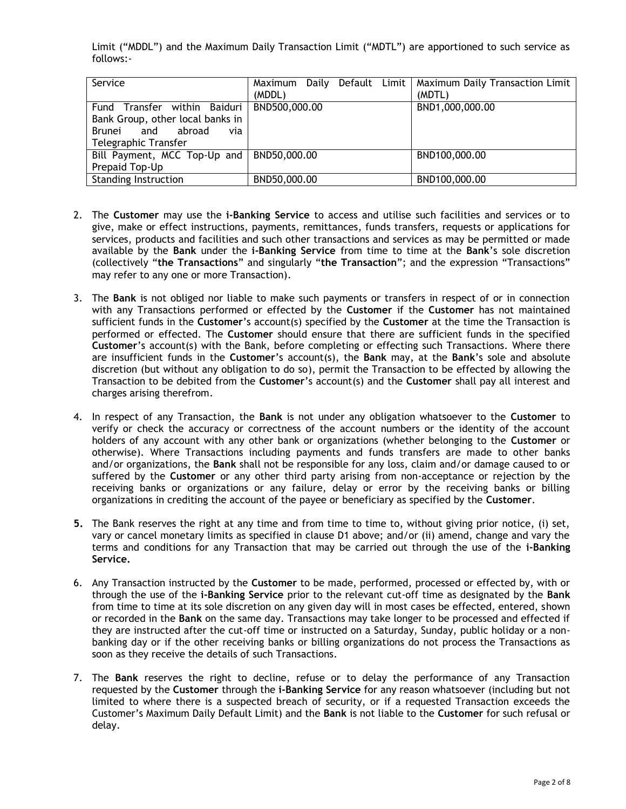Limit ("MDDL") and the Maximum Daily Transaction Limit ("MDTL") are apportioned to such service as follows:-

| Service                                                                                                              | Maximum Daily Default Limit<br>(MDDL) | Maximum Daily Transaction Limit<br>(MDTL) |
|----------------------------------------------------------------------------------------------------------------------|---------------------------------------|-------------------------------------------|
| Fund Transfer within Baiduri<br>Bank Group, other local banks in<br>Brunei and abroad<br>via<br>Telegraphic Transfer | BND500,000.00                         | BND1,000,000.00                           |
| Bill Payment, MCC Top-Up and<br>Prepaid Top-Up                                                                       | BND50,000.00                          | BND100,000.00                             |
| <b>Standing Instruction</b>                                                                                          | BND50,000.00                          | BND100,000.00                             |

- 2. The **Customer** may use the **i-Banking Service** to access and utilise such facilities and services or to give, make or effect instructions, payments, remittances, funds transfers, requests or applications for services, products and facilities and such other transactions and services as may be permitted or made available by the **Bank** under the **i-Banking Service** from time to time at the **Bank**'s sole discretion (collectively "**the Transactions**" and singularly "**the Transaction**"; and the expression "Transactions" may refer to any one or more Transaction).
- 3. The **Bank** is not obliged nor liable to make such payments or transfers in respect of or in connection with any Transactions performed or effected by the **Customer** if the **Customer** has not maintained sufficient funds in the **Customer**'s account(s) specified by the **Customer** at the time the Transaction is performed or effected. The **Customer** should ensure that there are sufficient funds in the specified **Customer**'s account(s) with the Bank, before completing or effecting such Transactions. Where there are insufficient funds in the **Customer**'s account(s), the **Bank** may, at the **Bank**'s sole and absolute discretion (but without any obligation to do so), permit the Transaction to be effected by allowing the Transaction to be debited from the **Customer**'s account(s) and the **Customer** shall pay all interest and charges arising therefrom.
- 4. In respect of any Transaction, the **Bank** is not under any obligation whatsoever to the **Customer** to verify or check the accuracy or correctness of the account numbers or the identity of the account holders of any account with any other bank or organizations (whether belonging to the **Customer** or otherwise). Where Transactions including payments and funds transfers are made to other banks and/or organizations, the **Bank** shall not be responsible for any loss, claim and/or damage caused to or suffered by the **Customer** or any other third party arising from non-acceptance or rejection by the receiving banks or organizations or any failure, delay or error by the receiving banks or billing organizations in crediting the account of the payee or beneficiary as specified by the **Customer**.
- **5.** The Bank reserves the right at any time and from time to time to, without giving prior notice, (i) set, vary or cancel monetary limits as specified in clause D1 above; and/or (ii) amend, change and vary the terms and conditions for any Transaction that may be carried out through the use of the **i-Banking Service.**
- 6. Any Transaction instructed by the **Customer** to be made, performed, processed or effected by, with or through the use of the **i-Banking Service** prior to the relevant cut-off time as designated by the **Bank** from time to time at its sole discretion on any given day will in most cases be effected, entered, shown or recorded in the **Bank** on the same day. Transactions may take longer to be processed and effected if they are instructed after the cut-off time or instructed on a Saturday, Sunday, public holiday or a nonbanking day or if the other receiving banks or billing organizations do not process the Transactions as soon as they receive the details of such Transactions.
- 7. The **Bank** reserves the right to decline, refuse or to delay the performance of any Transaction requested by the **Customer** through the **i-Banking Service** for any reason whatsoever (including but not limited to where there is a suspected breach of security, or if a requested Transaction exceeds the Customer's Maximum Daily Default Limit) and the **Bank** is not liable to the **Customer** for such refusal or delay.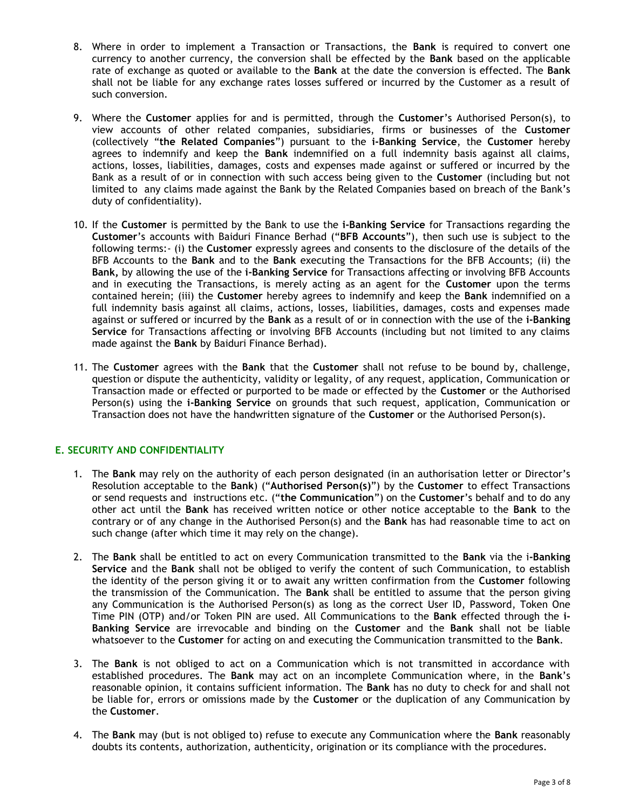- 8. Where in order to implement a Transaction or Transactions, the **Bank** is required to convert one currency to another currency, the conversion shall be effected by the **Bank** based on the applicable rate of exchange as quoted or available to the **Bank** at the date the conversion is effected. The **Bank**  shall not be liable for any exchange rates losses suffered or incurred by the Customer as a result of such conversion.
- 9. Where the **Customer** applies for and is permitted, through the **Customer**'s Authorised Person(s), to view accounts of other related companies, subsidiaries, firms or businesses of the **Customer** (collectively "**the Related Companies**") pursuant to the **i-Banking Service**, the **Customer** hereby agrees to indemnify and keep the **Bank** indemnified on a full indemnity basis against all claims, actions, losses, liabilities, damages, costs and expenses made against or suffered or incurred by the Bank as a result of or in connection with such access being given to the **Customer** (including but not limited to any claims made against the Bank by the Related Companies based on breach of the Bank's duty of confidentiality).
- 10. If the **Customer** is permitted by the Bank to use the **i-Banking Service** for Transactions regarding the **Customer**'s accounts with Baiduri Finance Berhad ("**BFB Accounts**"), then such use is subject to the following terms:- (i) the **Customer** expressly agrees and consents to the disclosure of the details of the BFB Accounts to the **Bank** and to the **Bank** executing the Transactions for the BFB Accounts; (ii) the **Bank,** by allowing the use of the **i-Banking Service** for Transactions affecting or involving BFB Accounts and in executing the Transactions, is merely acting as an agent for the **Customer** upon the terms contained herein; (iii) the **Customer** hereby agrees to indemnify and keep the **Bank** indemnified on a full indemnity basis against all claims, actions, losses, liabilities, damages, costs and expenses made against or suffered or incurred by the **Bank** as a result of or in connection with the use of the **i-Banking Service** for Transactions affecting or involving BFB Accounts (including but not limited to any claims made against the **Bank** by Baiduri Finance Berhad).
- 11. The **Customer** agrees with the **Bank** that the **Customer** shall not refuse to be bound by, challenge, question or dispute the authenticity, validity or legality, of any request, application, Communication or Transaction made or effected or purported to be made or effected by the **Customer** or the Authorised Person(s) using the **i-Banking Service** on grounds that such request, application, Communication or Transaction does not have the handwritten signature of the **Customer** or the Authorised Person(s).

# **E. SECURITY AND CONFIDENTIALITY**

- 1. The **Bank** may rely on the authority of each person designated (in an authorisation letter or Director's Resolution acceptable to the **Bank**) ("**Authorised Person(s)**") by the **Customer** to effect Transactions or send requests and instructions etc. ("**the Communication**") on the **Customer**'s behalf and to do any other act until the **Bank** has received written notice or other notice acceptable to the **Bank** to the contrary or of any change in the Authorised Person(s) and the **Bank** has had reasonable time to act on such change (after which time it may rely on the change).
- 2. The **Bank** shall be entitled to act on every Communication transmitted to the **Bank** via the i**-Banking Service** and the **Bank** shall not be obliged to verify the content of such Communication, to establish the identity of the person giving it or to await any written confirmation from the **Customer** following the transmission of the Communication. The **Bank** shall be entitled to assume that the person giving any Communication is the Authorised Person(s) as long as the correct User ID, Password, Token One Time PIN (OTP) and/or Token PIN are used. All Communications to the **Bank** effected through the **i-Banking Service** are irrevocable and binding on the **Customer** and the **Bank** shall not be liable whatsoever to the **Customer** for acting on and executing the Communication transmitted to the **Bank**.
- 3. The **Bank** is not obliged to act on a Communication which is not transmitted in accordance with established procedures. The **Bank** may act on an incomplete Communication where, in the **Bank**'s reasonable opinion, it contains sufficient information. The **Bank** has no duty to check for and shall not be liable for, errors or omissions made by the **Customer** or the duplication of any Communication by the **Customer**.
- 4. The **Bank** may (but is not obliged to) refuse to execute any Communication where the **Bank** reasonably doubts its contents, authorization, authenticity, origination or its compliance with the procedures.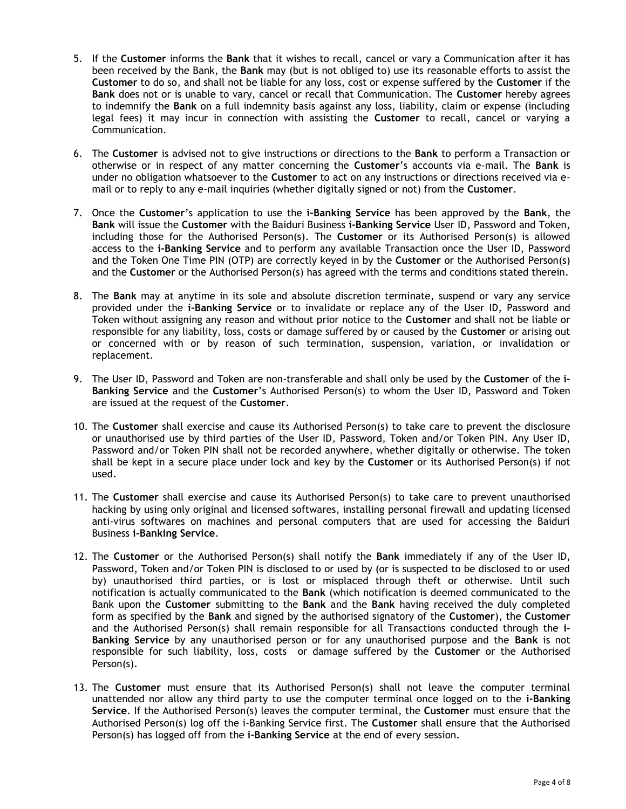- 5. If the **Customer** informs the **Bank** that it wishes to recall, cancel or vary a Communication after it has been received by the Bank, the **Bank** may (but is not obliged to) use its reasonable efforts to assist the **Customer** to do so, and shall not be liable for any loss, cost or expense suffered by the **Customer** if the **Bank** does not or is unable to vary, cancel or recall that Communication. The **Customer** hereby agrees to indemnify the **Bank** on a full indemnity basis against any loss, liability, claim or expense (including legal fees) it may incur in connection with assisting the **Customer** to recall, cancel or varying a Communication.
- 6. The **Customer** is advised not to give instructions or directions to the **Bank** to perform a Transaction or otherwise or in respect of any matter concerning the **Customer**'s accounts via e-mail. The **Bank** is under no obligation whatsoever to the **Customer** to act on any instructions or directions received via email or to reply to any e-mail inquiries (whether digitally signed or not) from the **Customer**.
- 7. Once the **Customer**'s application to use the **i-Banking Service** has been approved by the **Bank**, the **Bank** will issue the **Customer** with the Baiduri Business **i-Banking Service** User ID, Password and Token, including those for the Authorised Person(s). The **Customer** or its Authorised Person(s) is allowed access to the **i-Banking Service** and to perform any available Transaction once the User ID, Password and the Token One Time PIN (OTP) are correctly keyed in by the **Customer** or the Authorised Person(s) and the **Customer** or the Authorised Person(s) has agreed with the terms and conditions stated therein.
- 8. The **Bank** may at anytime in its sole and absolute discretion terminate, suspend or vary any service provided under the **i-Banking Service** or to invalidate or replace any of the User ID, Password and Token without assigning any reason and without prior notice to the **Customer** and shall not be liable or responsible for any liability, loss, costs or damage suffered by or caused by the **Customer** or arising out or concerned with or by reason of such termination, suspension, variation, or invalidation or replacement.
- 9. The User ID, Password and Token are non-transferable and shall only be used by the **Customer** of the **i-Banking Service** and the **Customer**'s Authorised Person(s) to whom the User ID, Password and Token are issued at the request of the **Customer**.
- 10. The **Customer** shall exercise and cause its Authorised Person(s) to take care to prevent the disclosure or unauthorised use by third parties of the User ID, Password, Token and/or Token PIN. Any User ID, Password and/or Token PIN shall not be recorded anywhere, whether digitally or otherwise. The token shall be kept in a secure place under lock and key by the **Customer** or its Authorised Person(s) if not used.
- 11. The **Customer** shall exercise and cause its Authorised Person(s) to take care to prevent unauthorised hacking by using only original and licensed softwares, installing personal firewall and updating licensed anti-virus softwares on machines and personal computers that are used for accessing the Baiduri Business **i-Banking Service**.
- 12. The **Customer** or the Authorised Person(s) shall notify the **Bank** immediately if any of the User ID, Password, Token and/or Token PIN is disclosed to or used by (or is suspected to be disclosed to or used by) unauthorised third parties, or is lost or misplaced through theft or otherwise. Until such notification is actually communicated to the **Bank** (which notification is deemed communicated to the Bank upon the **Customer** submitting to the **Bank** and the **Bank** having received the duly completed form as specified by the **Bank** and signed by the authorised signatory of the **Customer**), the **Customer**  and the Authorised Person(s) shall remain responsible for all Transactions conducted through the **i-Banking Service** by any unauthorised person or for any unauthorised purpose and the **Bank** is not responsible for such liability, loss, costs or damage suffered by the **Customer** or the Authorised Person(s).
- 13. The **Customer** must ensure that its Authorised Person(s) shall not leave the computer terminal unattended nor allow any third party to use the computer terminal once logged on to the **i-Banking Service**. If the Authorised Person(s) leaves the computer terminal, the **Customer** must ensure that the Authorised Person(s) log off the i-Banking Service first. The **Customer** shall ensure that the Authorised Person(s) has logged off from the **i-Banking Service** at the end of every session.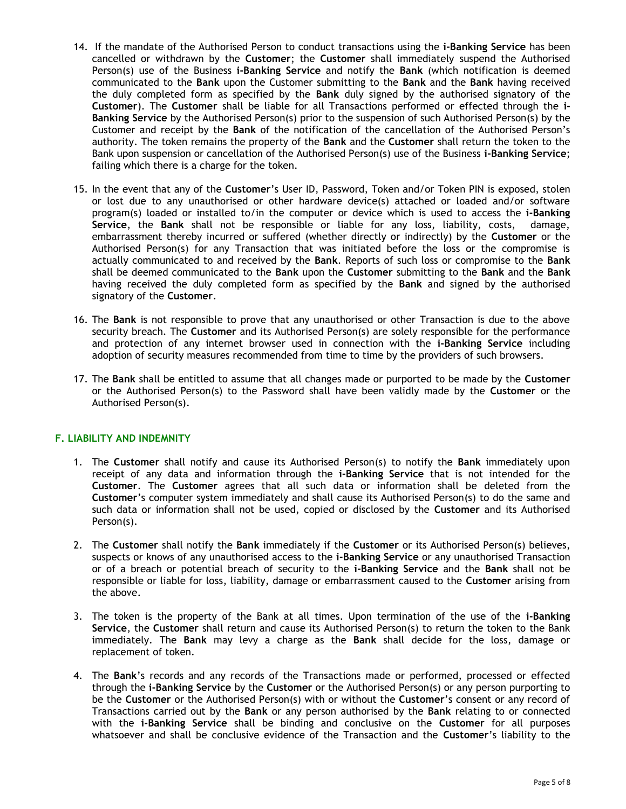- 14. If the mandate of the Authorised Person to conduct transactions using the **i-Banking Service** has been cancelled or withdrawn by the **Customer**; the **Customer** shall immediately suspend the Authorised Person(s) use of the Business **i-Banking Service** and notify the **Bank** (which notification is deemed communicated to the **Bank** upon the Customer submitting to the **Bank** and the **Bank** having received the duly completed form as specified by the **Bank** duly signed by the authorised signatory of the **Customer**). The **Customer** shall be liable for all Transactions performed or effected through the **i-Banking Service** by the Authorised Person(s) prior to the suspension of such Authorised Person(s) by the Customer and receipt by the **Bank** of the notification of the cancellation of the Authorised Person's authority. The token remains the property of the **Bank** and the **Customer** shall return the token to the Bank upon suspension or cancellation of the Authorised Person(s) use of the Business **i-Banking Service**; failing which there is a charge for the token.
- 15. In the event that any of the **Customer**'s User ID, Password, Token and/or Token PIN is exposed, stolen or lost due to any unauthorised or other hardware device(s) attached or loaded and/or software program(s) loaded or installed to/in the computer or device which is used to access the **i-Banking Service**, the **Bank** shall not be responsible or liable for any loss, liability, costs, damage, embarrassment thereby incurred or suffered (whether directly or indirectly) by the **Customer** or the Authorised Person(s) for any Transaction that was initiated before the loss or the compromise is actually communicated to and received by the **Bank**. Reports of such loss or compromise to the **Bank**  shall be deemed communicated to the **Bank** upon the **Customer** submitting to the **Bank** and the **Bank**  having received the duly completed form as specified by the **Bank** and signed by the authorised signatory of the **Customer**.
- 16. The **Bank** is not responsible to prove that any unauthorised or other Transaction is due to the above security breach. The **Customer** and its Authorised Person(s) are solely responsible for the performance and protection of any internet browser used in connection with the **i-Banking Service** including adoption of security measures recommended from time to time by the providers of such browsers.
- 17. The **Bank** shall be entitled to assume that all changes made or purported to be made by the **Customer** or the Authorised Person(s) to the Password shall have been validly made by the **Customer** or the Authorised Person(s).

## **F. LIABILITY AND INDEMNITY**

- 1. The **Customer** shall notify and cause its Authorised Person(s) to notify the **Bank** immediately upon receipt of any data and information through the **i-Banking Service** that is not intended for the **Customer**. The **Customer** agrees that all such data or information shall be deleted from the **Customer**'s computer system immediately and shall cause its Authorised Person(s) to do the same and such data or information shall not be used, copied or disclosed by the **Customer** and its Authorised Person(s).
- 2. The **Customer** shall notify the **Bank** immediately if the **Customer** or its Authorised Person(s) believes, suspects or knows of any unauthorised access to the **i-Banking Service** or any unauthorised Transaction or of a breach or potential breach of security to the **i-Banking Service** and the **Bank** shall not be responsible or liable for loss, liability, damage or embarrassment caused to the **Customer** arising from the above.
- 3. The token is the property of the Bank at all times. Upon termination of the use of the **i-Banking Service**, the **Customer** shall return and cause its Authorised Person(s) to return the token to the Bank immediately. The **Bank** may levy a charge as the **Bank** shall decide for the loss, damage or replacement of token.
- 4. The **Bank**'s records and any records of the Transactions made or performed, processed or effected through the **i-Banking Service** by the **Customer** or the Authorised Person(s) or any person purporting to be the **Customer** or the Authorised Person(s) with or without the **Customer**'s consent or any record of Transactions carried out by the **Bank** or any person authorised by the **Bank** relating to or connected with the **i-Banking Service** shall be binding and conclusive on the **Customer** for all purposes whatsoever and shall be conclusive evidence of the Transaction and the **Customer**'s liability to the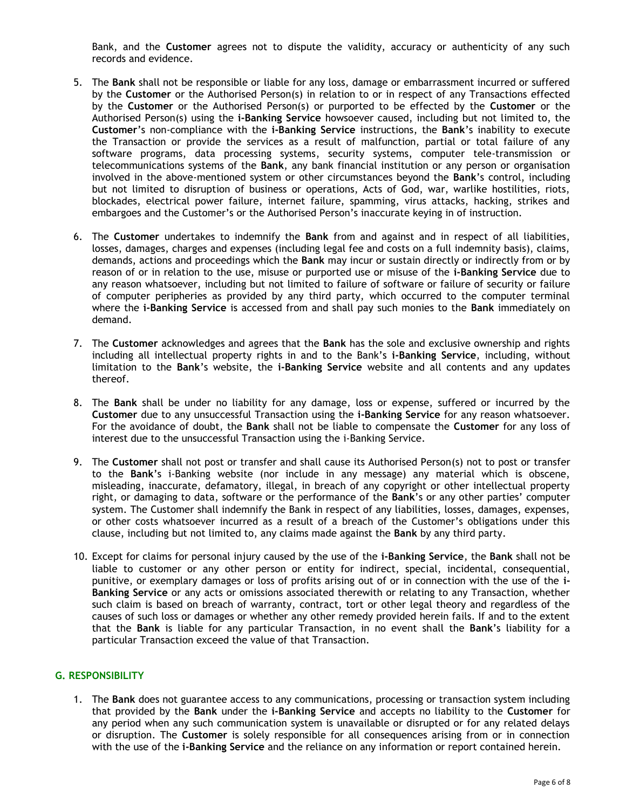Bank, and the **Customer** agrees not to dispute the validity, accuracy or authenticity of any such records and evidence.

- 5. The **Bank** shall not be responsible or liable for any loss, damage or embarrassment incurred or suffered by the **Customer** or the Authorised Person(s) in relation to or in respect of any Transactions effected by the **Customer** or the Authorised Person(s) or purported to be effected by the **Customer** or the Authorised Person(s) using the **i-Banking Service** howsoever caused, including but not limited to, the **Customer**'s non-compliance with the **i-Banking Service** instructions, the **Bank**'s inability to execute the Transaction or provide the services as a result of malfunction, partial or total failure of any software programs, data processing systems, security systems, computer tele-transmission or telecommunications systems of the **Bank**, any bank financial institution or any person or organisation involved in the above-mentioned system or other circumstances beyond the **Bank**'s control, including but not limited to disruption of business or operations, Acts of God, war, warlike hostilities, riots, blockades, electrical power failure, internet failure, spamming, virus attacks, hacking, strikes and embargoes and the Customer's or the Authorised Person's inaccurate keying in of instruction.
- 6. The **Customer** undertakes to indemnify the **Bank** from and against and in respect of all liabilities, losses, damages, charges and expenses (including legal fee and costs on a full indemnity basis), claims, demands, actions and proceedings which the **Bank** may incur or sustain directly or indirectly from or by reason of or in relation to the use, misuse or purported use or misuse of the **i-Banking Service** due to any reason whatsoever, including but not limited to failure of software or failure of security or failure of computer peripheries as provided by any third party, which occurred to the computer terminal where the **i-Banking Service** is accessed from and shall pay such monies to the **Bank** immediately on demand.
- 7. The **Customer** acknowledges and agrees that the **Bank** has the sole and exclusive ownership and rights including all intellectual property rights in and to the Bank's **i-Banking Service**, including, without limitation to the **Bank**'s website, the **i-Banking Service** website and all contents and any updates thereof.
- 8. The **Bank** shall be under no liability for any damage, loss or expense, suffered or incurred by the **Customer** due to any unsuccessful Transaction using the **i-Banking Service** for any reason whatsoever. For the avoidance of doubt, the **Bank** shall not be liable to compensate the **Customer** for any loss of interest due to the unsuccessful Transaction using the i-Banking Service.
- 9. The **Customer** shall not post or transfer and shall cause its Authorised Person(s) not to post or transfer to the **Bank**'s i-Banking website (nor include in any message) any material which is obscene, misleading, inaccurate, defamatory, illegal, in breach of any copyright or other intellectual property right, or damaging to data, software or the performance of the **Bank**'s or any other parties' computer system. The Customer shall indemnify the Bank in respect of any liabilities, losses, damages, expenses, or other costs whatsoever incurred as a result of a breach of the Customer's obligations under this clause, including but not limited to, any claims made against the **Bank** by any third party.
- 10. Except for claims for personal injury caused by the use of the **i-Banking Service**, the **Bank** shall not be liable to customer or any other person or entity for indirect, special, incidental, consequential, punitive, or exemplary damages or loss of profits arising out of or in connection with the use of the **i-Banking Service** or any acts or omissions associated therewith or relating to any Transaction, whether such claim is based on breach of warranty, contract, tort or other legal theory and regardless of the causes of such loss or damages or whether any other remedy provided herein fails. If and to the extent that the **Bank** is liable for any particular Transaction, in no event shall the **Bank**'s liability for a particular Transaction exceed the value of that Transaction.

## **G. RESPONSIBILITY**

1. The **Bank** does not guarantee access to any communications, processing or transaction system including that provided by the **Bank** under the **i-Banking Service** and accepts no liability to the **Customer** for any period when any such communication system is unavailable or disrupted or for any related delays or disruption. The **Customer** is solely responsible for all consequences arising from or in connection with the use of the **i-Banking Service** and the reliance on any information or report contained herein.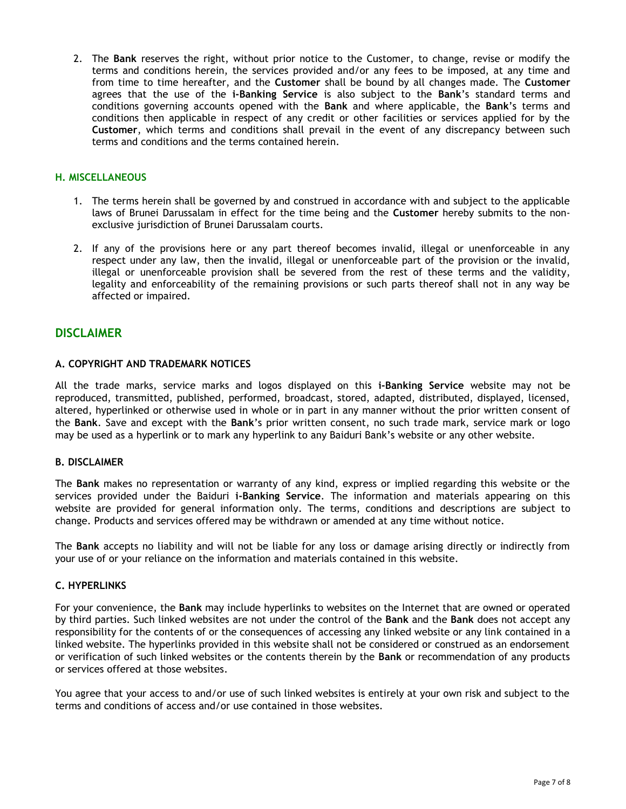2. The **Bank** reserves the right, without prior notice to the Customer, to change, revise or modify the terms and conditions herein, the services provided and/or any fees to be imposed, at any time and from time to time hereafter, and the **Customer** shall be bound by all changes made. The **Customer** agrees that the use of the **i-Banking Service** is also subject to the **Bank**'s standard terms and conditions governing accounts opened with the **Bank** and where applicable, the **Bank**'s terms and conditions then applicable in respect of any credit or other facilities or services applied for by the **Customer**, which terms and conditions shall prevail in the event of any discrepancy between such terms and conditions and the terms contained herein.

## **H. MISCELLANEOUS**

- 1. The terms herein shall be governed by and construed in accordance with and subject to the applicable laws of Brunei Darussalam in effect for the time being and the **Customer** hereby submits to the nonexclusive jurisdiction of Brunei Darussalam courts.
- 2. If any of the provisions here or any part thereof becomes invalid, illegal or unenforceable in any respect under any law, then the invalid, illegal or unenforceable part of the provision or the invalid, illegal or unenforceable provision shall be severed from the rest of these terms and the validity, legality and enforceability of the remaining provisions or such parts thereof shall not in any way be affected or impaired.

# **DISCLAIMER**

## **A. COPYRIGHT AND TRADEMARK NOTICES**

All the trade marks, service marks and logos displayed on this **i-Banking Service** website may not be reproduced, transmitted, published, performed, broadcast, stored, adapted, distributed, displayed, licensed, altered, hyperlinked or otherwise used in whole or in part in any manner without the prior written consent of the **Bank**. Save and except with the **Bank**'s prior written consent, no such trade mark, service mark or logo may be used as a hyperlink or to mark any hyperlink to any Baiduri Bank's website or any other website.

## **B. DISCLAIMER**

The **Bank** makes no representation or warranty of any kind, express or implied regarding this website or the services provided under the Baiduri **i-Banking Service**. The information and materials appearing on this website are provided for general information only. The terms, conditions and descriptions are subject to change. Products and services offered may be withdrawn or amended at any time without notice.

The **Bank** accepts no liability and will not be liable for any loss or damage arising directly or indirectly from your use of or your reliance on the information and materials contained in this website.

## **C. HYPERLINKS**

For your convenience, the **Bank** may include hyperlinks to websites on the Internet that are owned or operated by third parties. Such linked websites are not under the control of the **Bank** and the **Bank** does not accept any responsibility for the contents of or the consequences of accessing any linked website or any link contained in a linked website. The hyperlinks provided in this website shall not be considered or construed as an endorsement or verification of such linked websites or the contents therein by the **Bank** or recommendation of any products or services offered at those websites.

You agree that your access to and/or use of such linked websites is entirely at your own risk and subject to the terms and conditions of access and/or use contained in those websites.